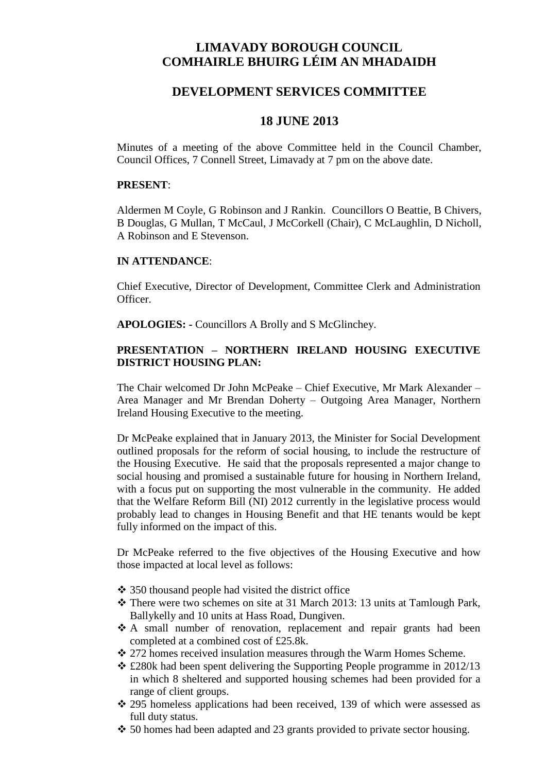# **LIMAVADY BOROUGH COUNCIL COMHAIRLE BHUIRG LÉIM AN MHADAIDH**

# **DEVELOPMENT SERVICES COMMITTEE**

# **18 JUNE 2013**

Minutes of a meeting of the above Committee held in the Council Chamber, Council Offices, 7 Connell Street, Limavady at 7 pm on the above date.

### **PRESENT**:

Aldermen M Coyle, G Robinson and J Rankin. Councillors O Beattie, B Chivers, B Douglas, G Mullan, T McCaul, J McCorkell (Chair), C McLaughlin, D Nicholl, A Robinson and E Stevenson.

## **IN ATTENDANCE**:

Chief Executive, Director of Development, Committee Clerk and Administration Officer.

**APOLOGIES: -** Councillors A Brolly and S McGlinchey.

# **PRESENTATION – NORTHERN IRELAND HOUSING EXECUTIVE DISTRICT HOUSING PLAN:**

The Chair welcomed Dr John McPeake – Chief Executive, Mr Mark Alexander – Area Manager and Mr Brendan Doherty – Outgoing Area Manager, Northern Ireland Housing Executive to the meeting.

Dr McPeake explained that in January 2013, the Minister for Social Development outlined proposals for the reform of social housing, to include the restructure of the Housing Executive. He said that the proposals represented a major change to social housing and promised a sustainable future for housing in Northern Ireland, with a focus put on supporting the most vulnerable in the community. He added that the Welfare Reform Bill (NI) 2012 currently in the legislative process would probably lead to changes in Housing Benefit and that HE tenants would be kept fully informed on the impact of this.

Dr McPeake referred to the five objectives of the Housing Executive and how those impacted at local level as follows:

- 350 thousand people had visited the district office
- There were two schemes on site at 31 March 2013: 13 units at Tamlough Park, Ballykelly and 10 units at Hass Road, Dungiven.
- A small number of renovation, replacement and repair grants had been completed at a combined cost of £25.8k.
- 272 homes received insulation measures through the Warm Homes Scheme.
- $\div$  £280k had been spent delivering the Supporting People programme in 2012/13 in which 8 sheltered and supported housing schemes had been provided for a range of client groups.
- 295 homeless applications had been received, 139 of which were assessed as full duty status.
- $\div$  50 homes had been adapted and 23 grants provided to private sector housing.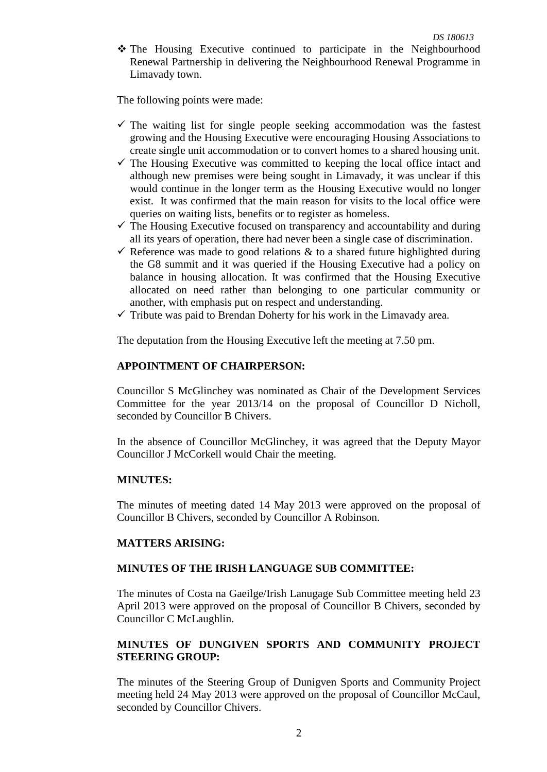\* The Housing Executive continued to participate in the Neighbourhood Renewal Partnership in delivering the Neighbourhood Renewal Programme in Limavady town.

The following points were made:

- $\checkmark$  The waiting list for single people seeking accommodation was the fastest growing and the Housing Executive were encouraging Housing Associations to create single unit accommodation or to convert homes to a shared housing unit.
- $\checkmark$  The Housing Executive was committed to keeping the local office intact and although new premises were being sought in Limavady, it was unclear if this would continue in the longer term as the Housing Executive would no longer exist. It was confirmed that the main reason for visits to the local office were queries on waiting lists, benefits or to register as homeless.
- $\checkmark$  The Housing Executive focused on transparency and accountability and during all its years of operation, there had never been a single case of discrimination.
- $\checkmark$  Reference was made to good relations & to a shared future highlighted during the G8 summit and it was queried if the Housing Executive had a policy on balance in housing allocation. It was confirmed that the Housing Executive allocated on need rather than belonging to one particular community or another, with emphasis put on respect and understanding.
- $\checkmark$  Tribute was paid to Brendan Doherty for his work in the Limavady area.

The deputation from the Housing Executive left the meeting at 7.50 pm.

### **APPOINTMENT OF CHAIRPERSON:**

Councillor S McGlinchey was nominated as Chair of the Development Services Committee for the year 2013/14 on the proposal of Councillor D Nicholl, seconded by Councillor B Chivers.

In the absence of Councillor McGlinchey, it was agreed that the Deputy Mayor Councillor J McCorkell would Chair the meeting.

#### **MINUTES:**

The minutes of meeting dated 14 May 2013 were approved on the proposal of Councillor B Chivers, seconded by Councillor A Robinson.

#### **MATTERS ARISING:**

## **MINUTES OF THE IRISH LANGUAGE SUB COMMITTEE:**

The minutes of Costa na Gaeilge/Irish Lanugage Sub Committee meeting held 23 April 2013 were approved on the proposal of Councillor B Chivers, seconded by Councillor C McLaughlin.

# **MINUTES OF DUNGIVEN SPORTS AND COMMUNITY PROJECT STEERING GROUP:**

The minutes of the Steering Group of Dunigven Sports and Community Project meeting held 24 May 2013 were approved on the proposal of Councillor McCaul, seconded by Councillor Chivers.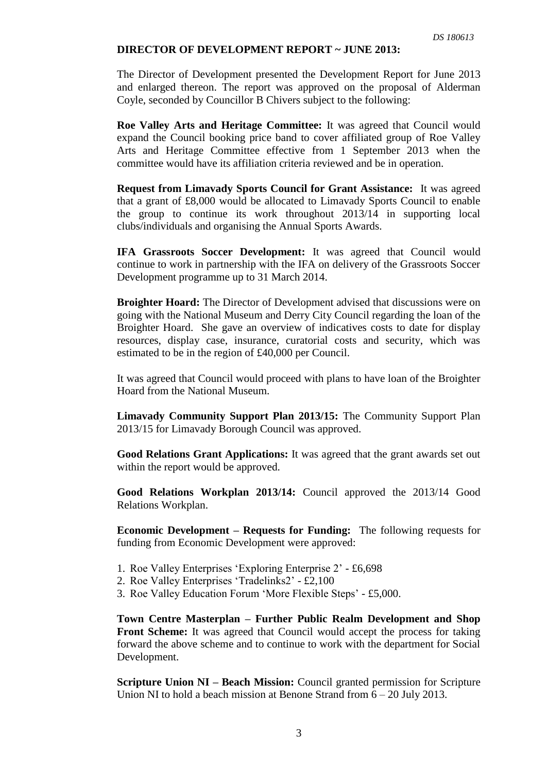### **DIRECTOR OF DEVELOPMENT REPORT ~ JUNE 2013:**

The Director of Development presented the Development Report for June 2013 and enlarged thereon. The report was approved on the proposal of Alderman Coyle, seconded by Councillor B Chivers subject to the following:

**Roe Valley Arts and Heritage Committee:** It was agreed that Council would expand the Council booking price band to cover affiliated group of Roe Valley Arts and Heritage Committee effective from 1 September 2013 when the committee would have its affiliation criteria reviewed and be in operation.

**Request from Limavady Sports Council for Grant Assistance:** It was agreed that a grant of £8,000 would be allocated to Limavady Sports Council to enable the group to continue its work throughout 2013/14 in supporting local clubs/individuals and organising the Annual Sports Awards.

**IFA Grassroots Soccer Development:** It was agreed that Council would continue to work in partnership with the IFA on delivery of the Grassroots Soccer Development programme up to 31 March 2014.

**Broighter Hoard:** The Director of Development advised that discussions were on going with the National Museum and Derry City Council regarding the loan of the Broighter Hoard. She gave an overview of indicatives costs to date for display resources, display case, insurance, curatorial costs and security, which was estimated to be in the region of £40,000 per Council.

It was agreed that Council would proceed with plans to have loan of the Broighter Hoard from the National Museum.

**Limavady Community Support Plan 2013/15:** The Community Support Plan 2013/15 for Limavady Borough Council was approved.

**Good Relations Grant Applications:** It was agreed that the grant awards set out within the report would be approved.

**Good Relations Workplan 2013/14:** Council approved the 2013/14 Good Relations Workplan.

**Economic Development – Requests for Funding:** The following requests for funding from Economic Development were approved:

- 1. Roe Valley Enterprises 'Exploring Enterprise 2' £6,698
- 2. Roe Valley Enterprises 'Tradelinks2' £2,100
- 3. Roe Valley Education Forum 'More Flexible Steps' £5,000.

**Town Centre Masterplan – Further Public Realm Development and Shop Front Scheme:** It was agreed that Council would accept the process for taking forward the above scheme and to continue to work with the department for Social Development.

**Scripture Union NI – Beach Mission:** Council granted permission for Scripture Union NI to hold a beach mission at Benone Strand from 6 – 20 July 2013.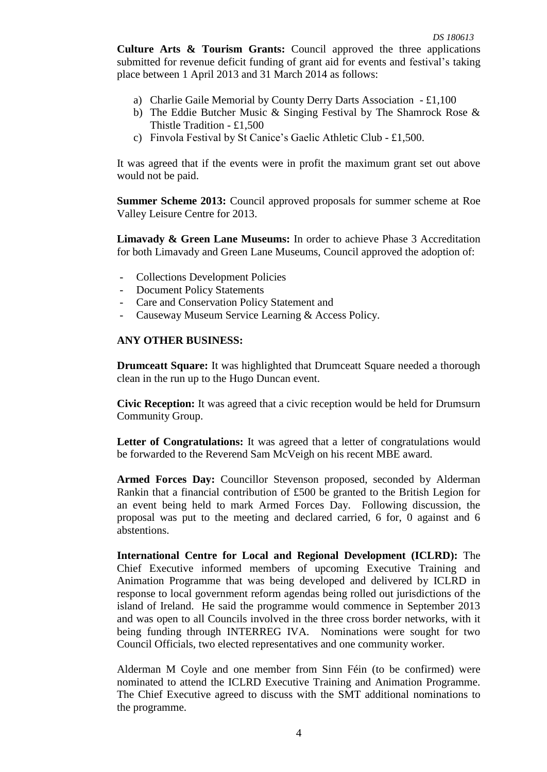**Culture Arts & Tourism Grants:** Council approved the three applications submitted for revenue deficit funding of grant aid for events and festival's taking place between 1 April 2013 and 31 March 2014 as follows:

- a) Charlie Gaile Memorial by County Derry Darts Association £1,100
- b) The Eddie Butcher Music & Singing Festival by The Shamrock Rose & Thistle Tradition - £1,500
- c) Finvola Festival by St Canice's Gaelic Athletic Club £1,500.

It was agreed that if the events were in profit the maximum grant set out above would not be paid.

**Summer Scheme 2013:** Council approved proposals for summer scheme at Roe Valley Leisure Centre for 2013.

**Limavady & Green Lane Museums:** In order to achieve Phase 3 Accreditation for both Limavady and Green Lane Museums, Council approved the adoption of:

- Collections Development Policies
- Document Policy Statements
- Care and Conservation Policy Statement and
- Causeway Museum Service Learning & Access Policy.

## **ANY OTHER BUSINESS:**

**Drumceatt Square:** It was highlighted that Drumceatt Square needed a thorough clean in the run up to the Hugo Duncan event.

**Civic Reception:** It was agreed that a civic reception would be held for Drumsurn Community Group.

Letter of Congratulations: It was agreed that a letter of congratulations would be forwarded to the Reverend Sam McVeigh on his recent MBE award.

**Armed Forces Day:** Councillor Stevenson proposed, seconded by Alderman Rankin that a financial contribution of £500 be granted to the British Legion for an event being held to mark Armed Forces Day. Following discussion, the proposal was put to the meeting and declared carried, 6 for, 0 against and 6 abstentions.

**International Centre for Local and Regional Development (ICLRD):** The Chief Executive informed members of upcoming Executive Training and Animation Programme that was being developed and delivered by ICLRD in response to local government reform agendas being rolled out jurisdictions of the island of Ireland. He said the programme would commence in September 2013 and was open to all Councils involved in the three cross border networks, with it being funding through INTERREG IVA. Nominations were sought for two Council Officials, two elected representatives and one community worker.

Alderman M Coyle and one member from Sinn Féin (to be confirmed) were nominated to attend the ICLRD Executive Training and Animation Programme. The Chief Executive agreed to discuss with the SMT additional nominations to the programme.